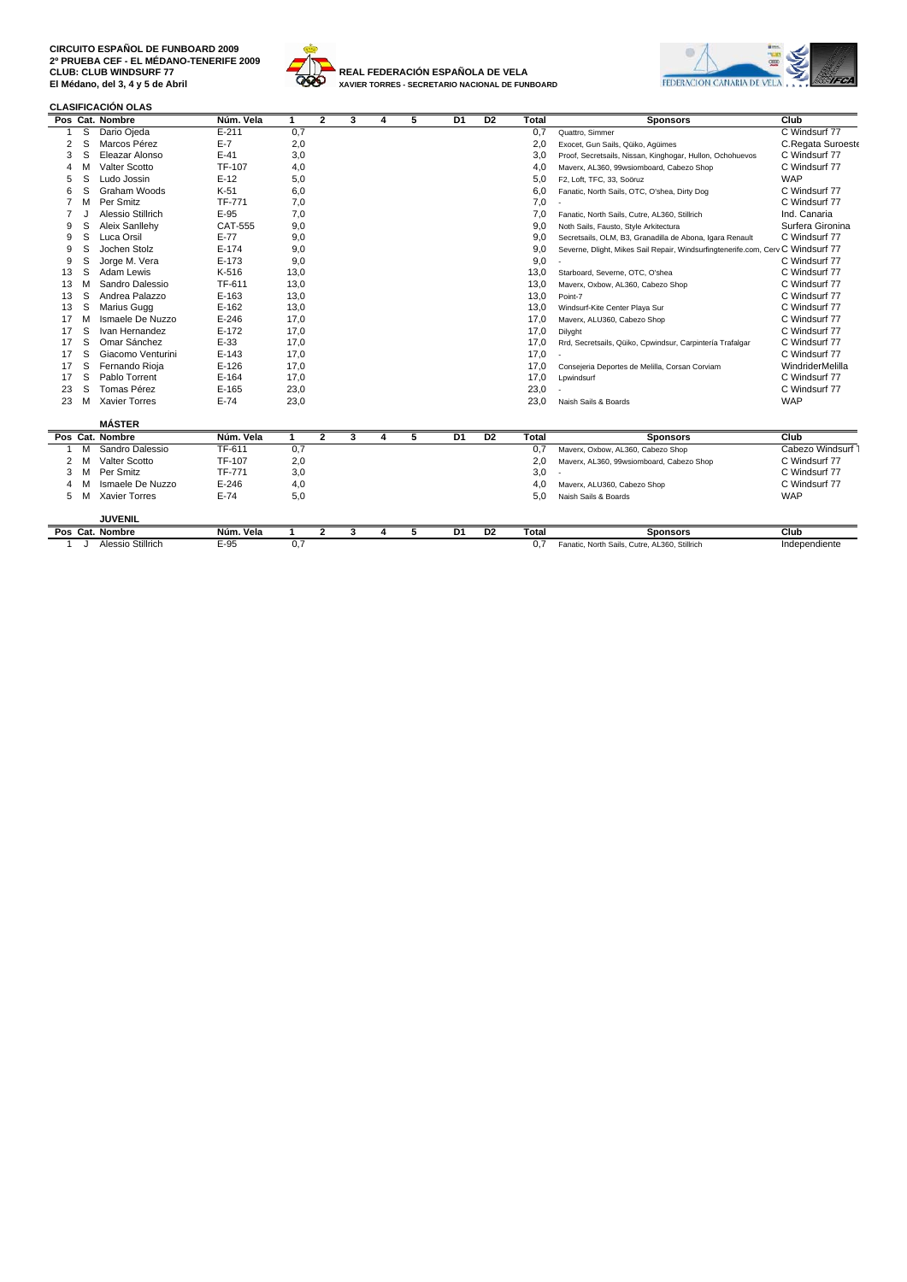#### **CLASIFICACIÓN OLAS**



# **CLUB: CLUB WINDSURF 77**<br> **El Médano, del 3, 4 y 5 de Abril XAVIER TORRES - SECRETARIO NACIONAL DE FUNBOARD**



|                |   | Pos Cat. Nombre      | Núm. Vela      | 1    | $\overline{2}$ | 3 | Δ | 5 | D <sub>1</sub> | D <sub>2</sub> | Total | <b>Sponsors</b>                                                                 | Club              |
|----------------|---|----------------------|----------------|------|----------------|---|---|---|----------------|----------------|-------|---------------------------------------------------------------------------------|-------------------|
|                | S | Dario Oieda          | $E - 211$      | 0,7  |                |   |   |   |                |                | 0,7   | Quattro, Simmer                                                                 | C Windsurf 77     |
| $\overline{2}$ | S | Marcos Pérez         | $E-7$          | 2,0  |                |   |   |   |                |                | 2,0   | Exocet, Gun Sails, Qüiko, Agüimes                                               | C.Regata Suroeste |
| 3              | S | Eleazar Alonso       | $E-41$         | 3,0  |                |   |   |   |                |                | 3,0   | Proof, Secretsails, Nissan, Kinghogar, Hullon, Ochohuevos                       | C Windsurf 77     |
| 4              |   | Valter Scotto        | <b>TF-107</b>  | 4,0  |                |   |   |   |                |                | 4.0   | Maverx, AL360, 99wsiomboard, Cabezo Shop                                        | C Windsurf 77     |
|                | S | Ludo Jossin          | $E-12$         | 5,0  |                |   |   |   |                |                | 5.0   | F2, Loft, TFC, 33, Soöruz                                                       | <b>WAP</b>        |
|                |   | Graham Woods         | $K-51$         | 6,0  |                |   |   |   |                |                | 6,0   | Fanatic, North Sails, OTC, O'shea, Dirty Dog                                    | C Windsurf 77     |
|                |   | Per Smitz            | <b>TF-771</b>  | 7,0  |                |   |   |   |                |                | 7,0   |                                                                                 | C Windsurf 77     |
|                |   | Alessio Stillrich    | $E-95$         | 7,0  |                |   |   |   |                |                | 7,0   | Fanatic, North Sails, Cutre, AL360, Stillrich                                   | Ind. Canaria      |
| 9              |   | Aleix Sanllehv       | <b>CAT-555</b> | 9,0  |                |   |   |   |                |                | 9.0   | Noth Sails, Fausto, Style Arkitectura                                           | Surfera Gironina  |
| 9              | S | Luca Orsil           | $E-77$         | 9,0  |                |   |   |   |                |                | 9,0   | Secretsails, OLM, B3, Granadilla de Abona, Igara Renault                        | C Windsurf 77     |
| 9              | S | Jochen Stolz         | $E-174$        | 9,0  |                |   |   |   |                |                | 9,0   | Severne, Dlight, Mikes Sail Repair, Windsurfingtenerife.com, Cerv C Windsurf 77 |                   |
| 9              |   | Jorge M. Vera        | $E-173$        | 9,0  |                |   |   |   |                |                | 9,0   |                                                                                 | C Windsurf 77     |
| 13             | S | Adam Lewis           | K-516          | 13,0 |                |   |   |   |                |                | 13,0  | Starboard, Severne, OTC, O'shea                                                 | C Windsurf 77     |
| 13             | M | Sandro Dalessio      | TF-611         | 13,0 |                |   |   |   |                |                | 13,0  | Maverx, Oxbow, AL360, Cabezo Shop                                               | C Windsurf 77     |
| 13             | S | Andrea Palazzo       | $E-163$        | 13,0 |                |   |   |   |                |                | 13,0  | Point-7                                                                         | C Windsurf 77     |
| 13             | S | Marius Gugg          | $E-162$        | 13,0 |                |   |   |   |                |                | 13,0  | Windsurf-Kite Center Playa Sur                                                  | C Windsurf 77     |
| 17             |   | Ismaele De Nuzzo     | $E-246$        | 17,0 |                |   |   |   |                |                | 17,0  | Maverx, ALU360, Cabezo Shop                                                     | C Windsurf 77     |
| 17             | S | Ivan Hernandez       | $E-172$        | 17,0 |                |   |   |   |                |                | 17,0  | Dilyght                                                                         | C Windsurf 77     |
| 17             | S | Omar Sánchez         | $E-33$         | 17,0 |                |   |   |   |                |                | 17,0  | Rrd, Secretsails, Qüiko, Cpwindsur, Carpintería Trafalgar                       | C Windsurf 77     |
| 17             | S | Giacomo Venturini    | $E-143$        | 17,0 |                |   |   |   |                |                | 17,0  |                                                                                 | C Windsurf 77     |
| 17             | S | Fernando Rioja       | $E-126$        | 17,0 |                |   |   |   |                |                | 17,0  | Consejeria Deportes de Melilla, Corsan Corviam                                  | WindriderMelilla  |
| 17             | S | Pablo Torrent        | $E-164$        | 17,0 |                |   |   |   |                |                | 17,0  | Lpwindsurf                                                                      | C Windsurf 77     |
| 23             | S | Tomas Pérez          | $E-165$        | 23,0 |                |   |   |   |                |                | 23,0  |                                                                                 | C Windsurf 77     |
| 23             | M | <b>Xavier Torres</b> | $E-74$         | 23,0 |                |   |   |   |                |                | 23.0  | Naish Sails & Boards                                                            | <b>WAP</b>        |
|                |   | <b>MÁSTER</b>        |                |      |                |   |   |   |                |                |       |                                                                                 |                   |
|                |   | Pos Cat. Nombre      | Núm. Vela      | 1    | $\overline{2}$ | 3 | 4 | 5 | D1             | D <sub>2</sub> | Total | <b>Sponsors</b>                                                                 | Club              |
|                | м | Sandro Dalessio      | TF-611         | 0,7  |                |   |   |   |                |                | 0,7   | Maverx, Oxbow, AL360, Cabezo Shop                                               | Cabezo Windsurf 1 |
| 2              | м | Valter Scotto        | <b>TF-107</b>  | 2,0  |                |   |   |   |                |                | 2,0   | Maverx, AL360, 99wsiomboard, Cabezo Shop                                        | C Windsurf 77     |
| 3              | м | Per Smitz            | TF-771         | 3,0  |                |   |   |   |                |                | 3,0   |                                                                                 | C Windsurf 77     |
|                |   | Ismaele De Nuzzo     | $E-246$        | 4,0  |                |   |   |   |                |                | 4.0   | Maverx, ALU360, Cabezo Shop                                                     | C Windsurf 77     |
| 5              | м | <b>Xavier Torres</b> | $E-74$         | 5,0  |                |   |   |   |                |                | 5,0   | Naish Sails & Boards                                                            | <b>WAP</b>        |
|                |   |                      |                |      |                |   |   |   |                |                |       |                                                                                 |                   |
|                |   | <b>JUVENIL</b>       |                |      |                |   |   |   |                |                |       |                                                                                 |                   |
|                |   | Pos Cat. Nombre      | Núm. Vela      | 1    | 2              | 3 | 4 | 5 | D <sub>1</sub> | D <sub>2</sub> | Total | <b>Sponsors</b>                                                                 | Club              |
|                | J | Alessio Stillrich    | $E-95$         | 0,7  |                |   |   |   |                |                | 0,7   | Fanatic, North Sails, Cutre, AL360, Stillrich                                   | Independiente     |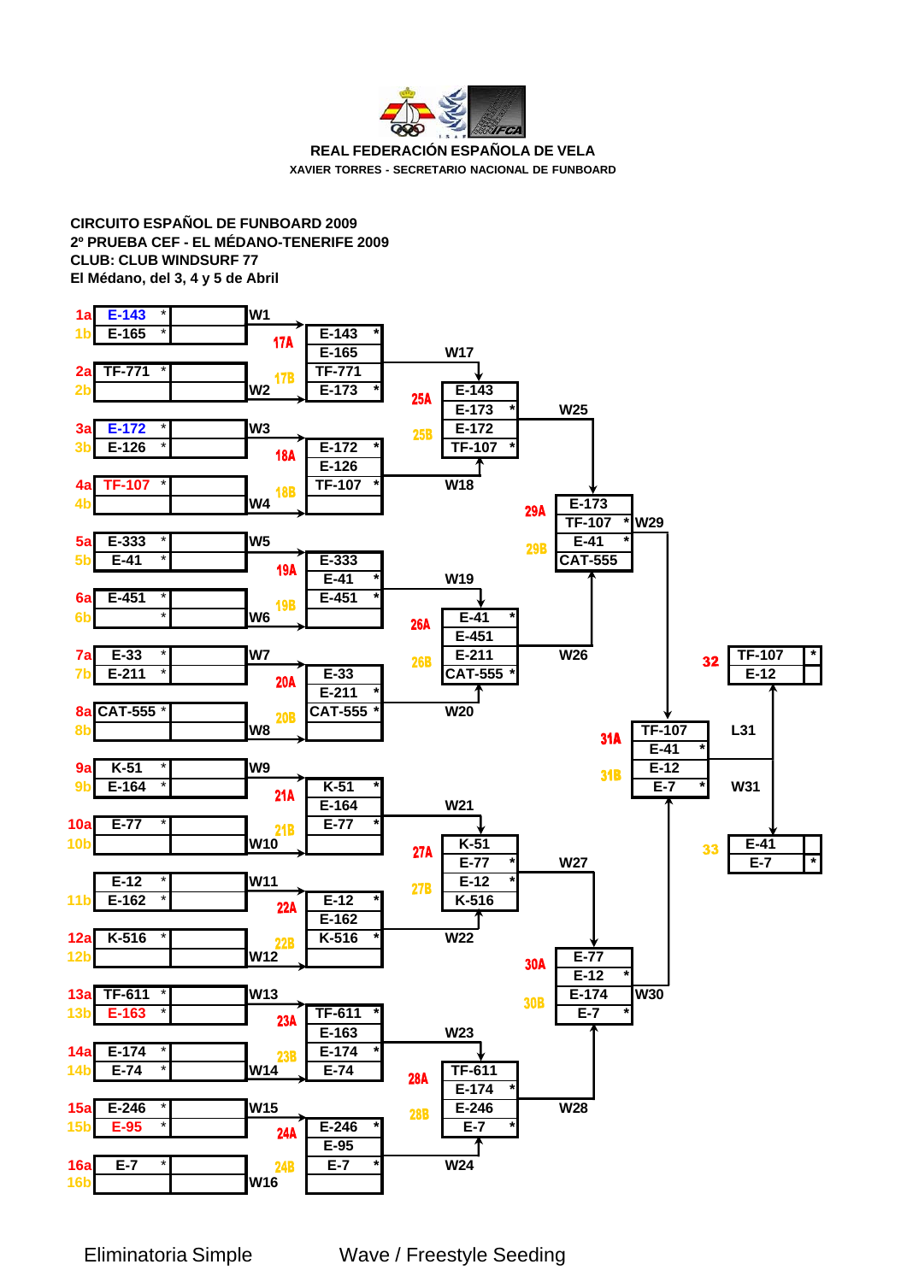

### **REAL FEDERACIÓN ESPAÑOLA DE VELA XAVIER TORRES - SECRETARIO NACIONAL DE FUNBOARD**

## **CIRCUITO ESPAÑOL DE FUNBOARD 2009 2º PRUEBA CEF - EL MÉDANO-TENERIFE 2009 CLUB: CLUB WINDSURF 77 El Médano, del 3, 4 y 5 de Abril**